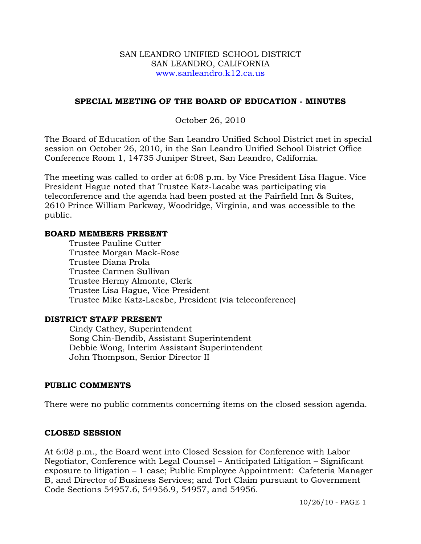#### SAN LEANDRO UNIFIED SCHOOL DISTRICT SAN LEANDRO, CALIFORNIA www.sanleandro.k12.ca.us

## **SPECIAL MEETING OF THE BOARD OF EDUCATION - MINUTES**

October 26, 2010

The Board of Education of the San Leandro Unified School District met in special session on October 26, 2010, in the San Leandro Unified School District Office Conference Room 1, 14735 Juniper Street, San Leandro, California.

The meeting was called to order at 6:08 p.m. by Vice President Lisa Hague. Vice President Hague noted that Trustee Katz-Lacabe was participating via teleconference and the agenda had been posted at the Fairfield Inn & Suites, 2610 Prince William Parkway, Woodridge, Virginia, and was accessible to the public.

#### **BOARD MEMBERS PRESENT**

Trustee Pauline Cutter Trustee Morgan Mack-Rose Trustee Diana Prola Trustee Carmen Sullivan Trustee Hermy Almonte, Clerk Trustee Lisa Hague, Vice President Trustee Mike Katz-Lacabe, President (via teleconference)

#### **DISTRICT STAFF PRESENT**

Cindy Cathey, Superintendent Song Chin-Bendib, Assistant Superintendent Debbie Wong, Interim Assistant Superintendent John Thompson, Senior Director II

#### **PUBLIC COMMENTS**

There were no public comments concerning items on the closed session agenda.

#### **CLOSED SESSION**

At 6:08 p.m., the Board went into Closed Session for Conference with Labor Negotiator, Conference with Legal Counsel – Anticipated Litigation – Significant exposure to litigation – 1 case; Public Employee Appointment: Cafeteria Manager B, and Director of Business Services; and Tort Claim pursuant to Government Code Sections 54957.6, 54956.9, 54957, and 54956.

10/26/10 - PAGE 1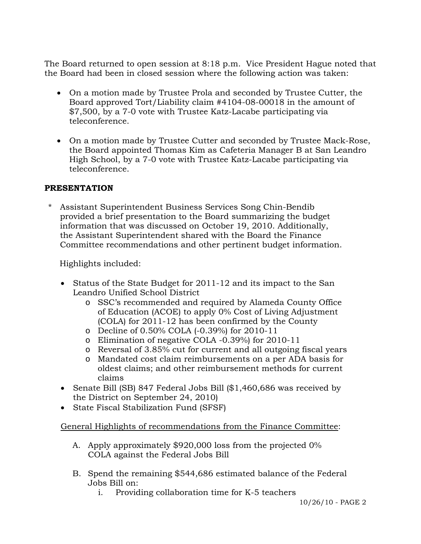The Board returned to open session at 8:18 p.m. Vice President Hague noted that the Board had been in closed session where the following action was taken:

- On a motion made by Trustee Prola and seconded by Trustee Cutter, the Board approved Tort/Liability claim #4104-08-00018 in the amount of \$7,500, by a 7-0 vote with Trustee Katz-Lacabe participating via teleconference.
- On a motion made by Trustee Cutter and seconded by Trustee Mack-Rose, the Board appointed Thomas Kim as Cafeteria Manager B at San Leandro High School, by a 7-0 vote with Trustee Katz-Lacabe participating via teleconference.

## **PRESENTATION**

Assistant Superintendent Business Services Song Chin-Bendib provided a brief presentation to the Board summarizing the budget information that was discussed on October 19, 2010. Additionally, the Assistant Superintendent shared with the Board the Finance Committee recommendations and other pertinent budget information.

Highlights included:

- Status of the State Budget for 2011-12 and its impact to the San Leandro Unified School District
	- o SSC's recommended and required by Alameda County Office of Education (ACOE) to apply 0% Cost of Living Adjustment (COLA) for 2011-12 has been confirmed by the County
	- o Decline of 0.50% COLA (-0.39%) for 2010-11
	- o Elimination of negative COLA -0.39%) for 2010-11
	- o Reversal of 3.85% cut for current and all outgoing fiscal years
	- o Mandated cost claim reimbursements on a per ADA basis for oldest claims; and other reimbursement methods for current claims
- Senate Bill (SB) 847 Federal Jobs Bill (\$1,460,686 was received by the District on September 24, 2010)
- State Fiscal Stabilization Fund (SFSF)

General Highlights of recommendations from the Finance Committee:

- A. Apply approximately \$920,000 loss from the projected 0% COLA against the Federal Jobs Bill
- B. Spend the remaining \$544,686 estimated balance of the Federal Jobs Bill on:
	- i. Providing collaboration time for K-5 teachers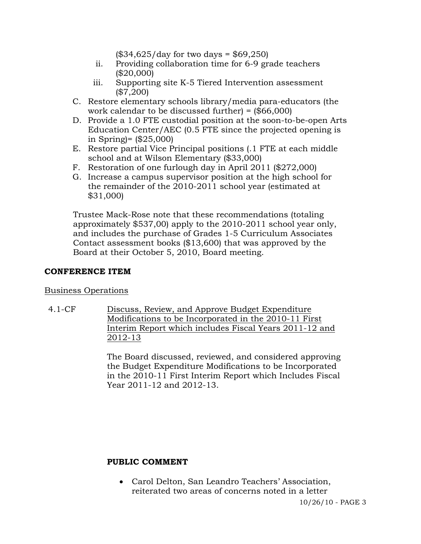$($34,625/day \text{ for two days} = $69,250)$ 

- ii. Providing collaboration time for 6-9 grade teachers (\$20,000)
- iii. Supporting site K-5 Tiered Intervention assessment (\$7,200)
- C. Restore elementary schools library/media para-educators (the work calendar to be discussed further) = (\$66,000)
- D. Provide a 1.0 FTE custodial position at the soon-to-be-open Arts Education Center/AEC (0.5 FTE since the projected opening is in Spring)= (\$25,000)
- E. Restore partial Vice Principal positions (.1 FTE at each middle school and at Wilson Elementary (\$33,000)
- F. Restoration of one furlough day in April 2011 (\$272,000)
- G. Increase a campus supervisor position at the high school for the remainder of the 2010-2011 school year (estimated at \$31,000)

 Trustee Mack-Rose note that these recommendations (totaling approximately \$537,00) apply to the 2010-2011 school year only, and includes the purchase of Grades 1-5 Curriculum Associates Contact assessment books (\$13,600) that was approved by the Board at their October 5, 2010, Board meeting.

## **CONFERENCE ITEM**

## Business Operations

4.1-CF Discuss, Review, and Approve Budget Expenditure Modifications to be Incorporated in the 2010-11 First Interim Report which includes Fiscal Years 2011-12 and 2012-13

> The Board discussed, reviewed, and considered approving the Budget Expenditure Modifications to be Incorporated in the 2010-11 First Interim Report which Includes Fiscal Year 2011-12 and 2012-13.

## **PUBLIC COMMENT**

 Carol Delton, San Leandro Teachers' Association, reiterated two areas of concerns noted in a letter

10/26/10 - PAGE 3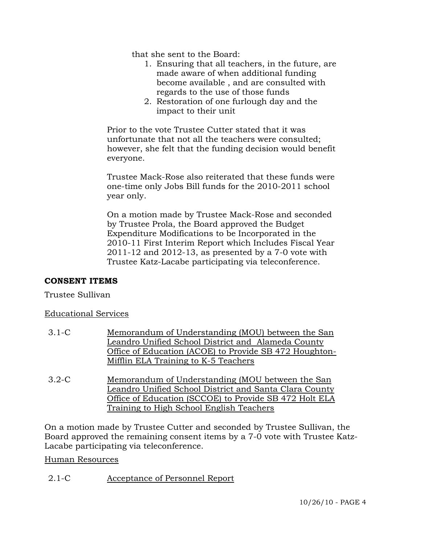that she sent to the Board:

- 1. Ensuring that all teachers, in the future, are made aware of when additional funding become available , and are consulted with regards to the use of those funds
- 2. Restoration of one furlough day and the impact to their unit

Prior to the vote Trustee Cutter stated that it was unfortunate that not all the teachers were consulted; however, she felt that the funding decision would benefit everyone.

Trustee Mack-Rose also reiterated that these funds were one-time only Jobs Bill funds for the 2010-2011 school year only.

On a motion made by Trustee Mack-Rose and seconded by Trustee Prola, the Board approved the Budget Expenditure Modifications to be Incorporated in the 2010-11 First Interim Report which Includes Fiscal Year 2011-12 and 2012-13, as presented by a 7-0 vote with Trustee Katz-Lacabe participating via teleconference.

## **CONSENT ITEMS**

Trustee Sullivan

## Educational Services

- 3.1-C Memorandum of Understanding (MOU) between the San Leandro Unified School District and Alameda County Office of Education (ACOE) to Provide SB 472 Houghton-Mifflin ELA Training to K-5 Teachers
- 3.2-C Memorandum of Understanding (MOU between the San Leandro Unified School District and Santa Clara County Office of Education (SCCOE) to Provide SB 472 Holt ELA Training to High School English Teachers

On a motion made by Trustee Cutter and seconded by Trustee Sullivan, the Board approved the remaining consent items by a 7-0 vote with Trustee Katz-Lacabe participating via teleconference.

#### Human Resources

2.1-C Acceptance of Personnel Report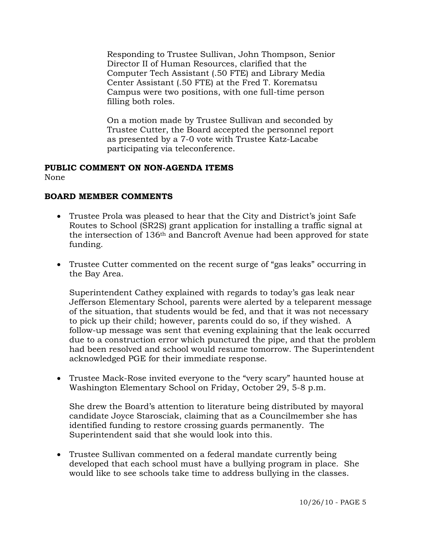Responding to Trustee Sullivan, John Thompson, Senior Director II of Human Resources, clarified that the Computer Tech Assistant (.50 FTE) and Library Media Center Assistant (.50 FTE) at the Fred T. Korematsu Campus were two positions, with one full-time person filling both roles.

On a motion made by Trustee Sullivan and seconded by Trustee Cutter, the Board accepted the personnel report as presented by a 7-0 vote with Trustee Katz-Lacabe participating via teleconference.

# **PUBLIC COMMENT ON NON-AGENDA ITEMS**

None

## **BOARD MEMBER COMMENTS**

- Trustee Prola was pleased to hear that the City and District's joint Safe Routes to School (SR2S) grant application for installing a traffic signal at the intersection of 136th and Bancroft Avenue had been approved for state funding.
- Trustee Cutter commented on the recent surge of "gas leaks" occurring in the Bay Area.

Superintendent Cathey explained with regards to today's gas leak near Jefferson Elementary School, parents were alerted by a teleparent message of the situation, that students would be fed, and that it was not necessary to pick up their child; however, parents could do so, if they wished. A follow-up message was sent that evening explaining that the leak occurred due to a construction error which punctured the pipe, and that the problem had been resolved and school would resume tomorrow. The Superintendent acknowledged PGE for their immediate response.

 Trustee Mack-Rose invited everyone to the "very scary" haunted house at Washington Elementary School on Friday, October 29, 5-8 p.m.

She drew the Board's attention to literature being distributed by mayoral candidate Joyce Starosciak, claiming that as a Councilmember she has identified funding to restore crossing guards permanently. The Superintendent said that she would look into this.

 Trustee Sullivan commented on a federal mandate currently being developed that each school must have a bullying program in place. She would like to see schools take time to address bullying in the classes.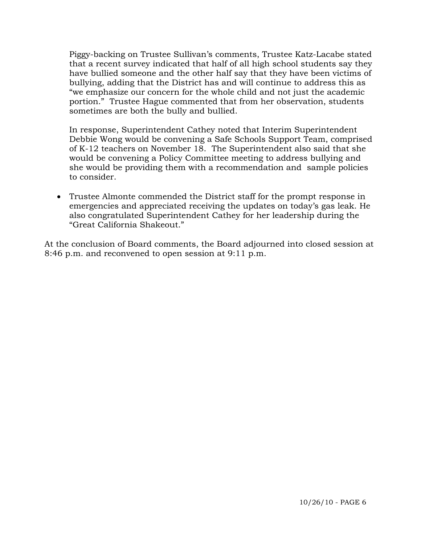Piggy-backing on Trustee Sullivan's comments, Trustee Katz-Lacabe stated that a recent survey indicated that half of all high school students say they have bullied someone and the other half say that they have been victims of bullying, adding that the District has and will continue to address this as "we emphasize our concern for the whole child and not just the academic portion." Trustee Hague commented that from her observation, students sometimes are both the bully and bullied.

In response, Superintendent Cathey noted that Interim Superintendent Debbie Wong would be convening a Safe Schools Support Team, comprised of K-12 teachers on November 18. The Superintendent also said that she would be convening a Policy Committee meeting to address bullying and she would be providing them with a recommendation and sample policies to consider.

 Trustee Almonte commended the District staff for the prompt response in emergencies and appreciated receiving the updates on today's gas leak. He also congratulated Superintendent Cathey for her leadership during the "Great California Shakeout."

At the conclusion of Board comments, the Board adjourned into closed session at 8:46 p.m. and reconvened to open session at 9:11 p.m.